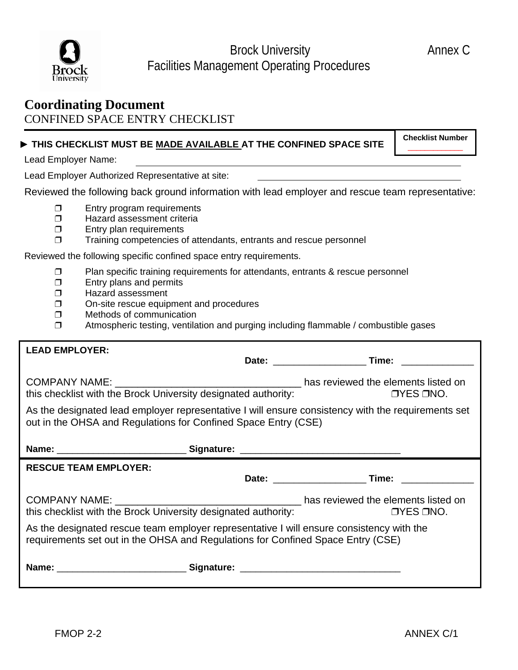

Brock University **Annex C** Facilities Management Operating Procedures

## **Coordinating Document** CONFINED SPACE ENTRY CHECKLIST

## ► **THIS CHECKLIST MUST BE MADE AVAILABLE AT THE CONFINED SPACE SITE**

**Checklist Number** \_\_\_\_\_\_\_\_\_\_\_\_\_

Lead Employer Name:

Lead Employer Authorized Representative at site:

Reviewed the following back ground information with lead employer and rescue team representative:

- $\Box$  Entry program requirements
- $\Box$  Hazard assessment criteria
- $\square$  Entry plan requirements
- $\Box$  Training competencies of attendants, entrants and rescue personnel

Reviewed the following specific confined space entry requirements.

- $\Box$  Plan specific training requirements for attendants, entrants & rescue personnel
- $\Box$  Entry plans and permits
- $\square$  Hazard assessment
- On-site rescue equipment and procedures
- $\Box$  Methods of communication
- $\Box$  Atmospheric testing, ventilation and purging including flammable / combustible gases

| <b>LEAD EMPLOYER:</b>                                                                                                                                                       |  |                  |
|-----------------------------------------------------------------------------------------------------------------------------------------------------------------------------|--|------------------|
|                                                                                                                                                                             |  |                  |
| this checklist with the Brock University designated authority:                                                                                                              |  | $OYES$ $ONO$ .   |
| As the designated lead employer representative I will ensure consistency with the requirements set<br>out in the OHSA and Regulations for Confined Space Entry (CSE)        |  |                  |
|                                                                                                                                                                             |  |                  |
| <b>RESCUE TEAM EMPLOYER:</b>                                                                                                                                                |  |                  |
|                                                                                                                                                                             |  | Date: Time:      |
|                                                                                                                                                                             |  |                  |
| this checklist with the Brock University designated authority:                                                                                                              |  | <b>OYES ONO.</b> |
| As the designated rescue team employer representative I will ensure consistency with the<br>requirements set out in the OHSA and Regulations for Confined Space Entry (CSE) |  |                  |